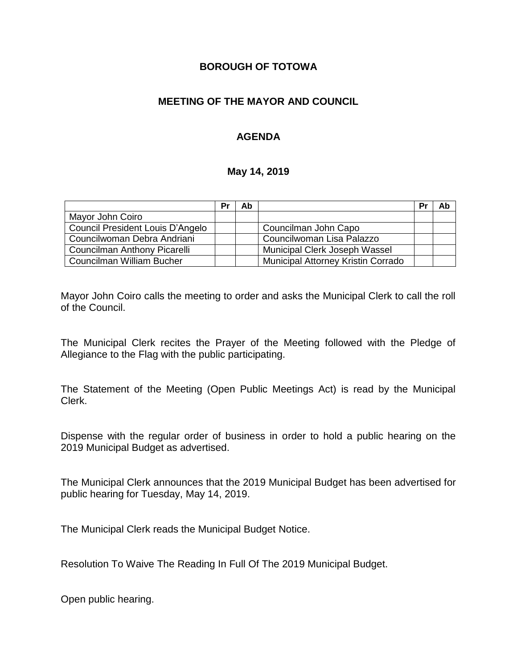### **BOROUGH OF TOTOWA**

### **MEETING OF THE MAYOR AND COUNCIL**

### **AGENDA**

#### **May 14, 2019**

|                                  | Pr | Ab |                                    | Pr | Ab |
|----------------------------------|----|----|------------------------------------|----|----|
| Mayor John Coiro                 |    |    |                                    |    |    |
| Council President Louis D'Angelo |    |    | Councilman John Capo               |    |    |
| Councilwoman Debra Andriani      |    |    | Councilwoman Lisa Palazzo          |    |    |
| Councilman Anthony Picarelli     |    |    | Municipal Clerk Joseph Wassel      |    |    |
| Councilman William Bucher        |    |    | Municipal Attorney Kristin Corrado |    |    |

Mayor John Coiro calls the meeting to order and asks the Municipal Clerk to call the roll of the Council.

The Municipal Clerk recites the Prayer of the Meeting followed with the Pledge of Allegiance to the Flag with the public participating.

The Statement of the Meeting (Open Public Meetings Act) is read by the Municipal Clerk.

Dispense with the regular order of business in order to hold a public hearing on the 2019 Municipal Budget as advertised.

The Municipal Clerk announces that the 2019 Municipal Budget has been advertised for public hearing for Tuesday, May 14, 2019.

The Municipal Clerk reads the Municipal Budget Notice.

Resolution To Waive The Reading In Full Of The 2019 Municipal Budget.

Open public hearing.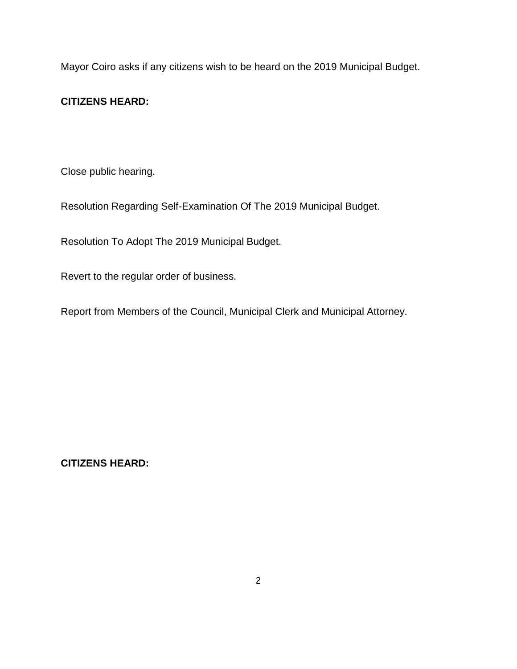Mayor Coiro asks if any citizens wish to be heard on the 2019 Municipal Budget.

## **CITIZENS HEARD:**

Close public hearing.

Resolution Regarding Self-Examination Of The 2019 Municipal Budget.

Resolution To Adopt The 2019 Municipal Budget.

Revert to the regular order of business.

Report from Members of the Council, Municipal Clerk and Municipal Attorney.

**CITIZENS HEARD:**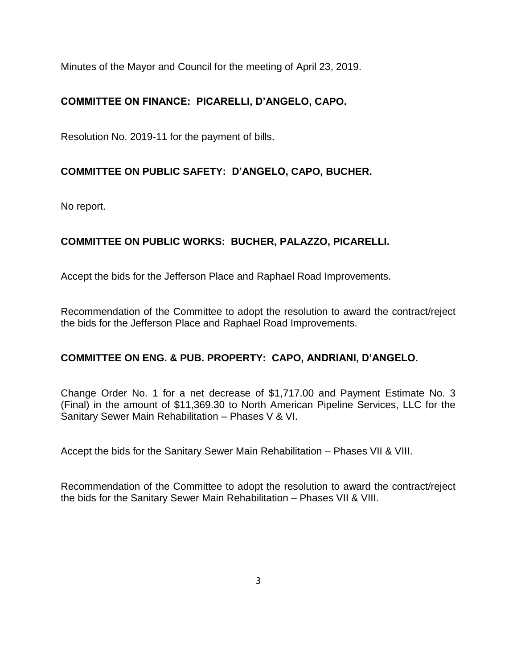Minutes of the Mayor and Council for the meeting of April 23, 2019.

# **COMMITTEE ON FINANCE: PICARELLI, D'ANGELO, CAPO.**

Resolution No. 2019-11 for the payment of bills.

## **COMMITTEE ON PUBLIC SAFETY: D'ANGELO, CAPO, BUCHER.**

No report.

## **COMMITTEE ON PUBLIC WORKS: BUCHER, PALAZZO, PICARELLI.**

Accept the bids for the Jefferson Place and Raphael Road Improvements.

Recommendation of the Committee to adopt the resolution to award the contract/reject the bids for the Jefferson Place and Raphael Road Improvements.

## **COMMITTEE ON ENG. & PUB. PROPERTY: CAPO, ANDRIANI, D'ANGELO.**

Change Order No. 1 for a net decrease of \$1,717.00 and Payment Estimate No. 3 (Final) in the amount of \$11,369.30 to North American Pipeline Services, LLC for the Sanitary Sewer Main Rehabilitation – Phases V & VI.

Accept the bids for the Sanitary Sewer Main Rehabilitation – Phases VII & VIII.

Recommendation of the Committee to adopt the resolution to award the contract/reject the bids for the Sanitary Sewer Main Rehabilitation – Phases VII & VIII.